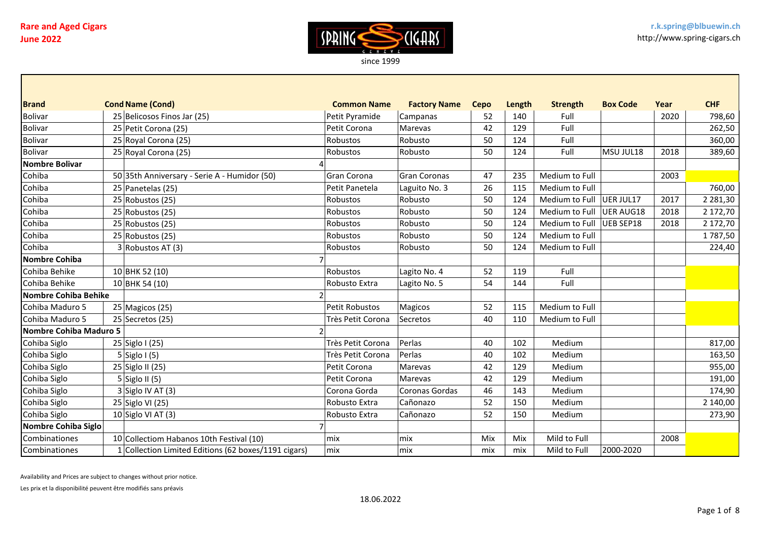

| <b>Brand</b>           | <b>Cond Name (Cond)</b>                              | <b>Common Name</b> | <b>Factory Name</b> | Cepo | Length | <b>Strength</b>          | <b>Box Code</b> | Year | <b>CHF</b>    |
|------------------------|------------------------------------------------------|--------------------|---------------------|------|--------|--------------------------|-----------------|------|---------------|
| <b>Bolivar</b>         | 25 Belicosos Finos Jar (25)                          | Petit Pyramide     | Campanas            | 52   | 140    | Full                     |                 | 2020 | 798,60        |
| <b>Bolivar</b>         | 25 Petit Corona (25)                                 | Petit Corona       | Marevas             | 42   | 129    | Full                     |                 |      | 262,50        |
| <b>Bolivar</b>         | 25 Royal Corona (25)                                 | Robustos           | Robusto             | 50   | 124    | Full                     |                 |      | 360,00        |
| <b>Bolivar</b>         | 25 Royal Corona (25)                                 | Robustos           | Robusto             | 50   | 124    | Full                     | MSU JUL18       | 2018 | 389,60        |
| <b>Nombre Bolivar</b>  |                                                      |                    |                     |      |        |                          |                 |      |               |
| Cohiba                 | 50 35th Anniversary - Serie A - Humidor (50)         | Gran Corona        | Gran Coronas        | 47   | 235    | Medium to Full           |                 | 2003 |               |
| Cohiba                 | 25 Panetelas (25)                                    | Petit Panetela     | Laguito No. 3       | 26   | 115    | Medium to Full           |                 |      | 760,00        |
| Cohiba                 | $25$ Robustos (25)                                   | Robustos           | Robusto             | 50   | 124    | Medium to Full UER JUL17 |                 | 2017 | 2 2 8 1 , 3 0 |
| Cohiba                 | $25$ Robustos (25)                                   | Robustos           | Robusto             | 50   | 124    | Medium to Full UER AUG18 |                 | 2018 | 2 172,70      |
| Cohiba                 | $25$ Robustos (25)                                   | Robustos           | Robusto             | 50   | 124    | Medium to Full           | UEB SEP18       | 2018 | 2 172,70      |
| Cohiba                 | 25 Robustos (25)                                     | Robustos           | Robusto             | 50   | 124    | Medium to Full           |                 |      | 1787,50       |
| Cohiba                 | 3 Robustos AT (3)                                    | Robustos           | Robusto             | 50   | 124    | Medium to Full           |                 |      | 224,40        |
| <b>Nombre Cohiba</b>   |                                                      |                    |                     |      |        |                          |                 |      |               |
| Cohiba Behike          | 10 BHK 52 (10)                                       | Robustos           | Lagito No. 4        | 52   | 119    | Full                     |                 |      |               |
| Cohiba Behike          | 10 BHK 54 (10)                                       | Robusto Extra      | Lagito No. 5        | 54   | 144    | Full                     |                 |      |               |
| Nombre Cohiba Behike   |                                                      |                    |                     |      |        |                          |                 |      |               |
| Cohiba Maduro 5        | $25$ Magicos (25)                                    | Petit Robustos     | Magicos             | 52   | 115    | Medium to Full           |                 |      |               |
| Cohiba Maduro 5        | 25 Secretos (25)                                     | Très Petit Corona  | Secretos            | 40   | 110    | Medium to Full           |                 |      |               |
| Nombre Cohiba Maduro 5 |                                                      |                    |                     |      |        |                          |                 |      |               |
| Cohiba Siglo           | 25 Siglo I (25)                                      | Très Petit Corona  | Perlas              | 40   | 102    | Medium                   |                 |      | 817,00        |
| Cohiba Siglo           | $5$ Siglo I (5)                                      | Très Petit Corona  | Perlas              | 40   | 102    | Medium                   |                 |      | 163,50        |
| Cohiba Siglo           | 25 Siglo II (25)                                     | Petit Corona       | Marevas             | 42   | 129    | Medium                   |                 |      | 955,00        |
| Cohiba Siglo           | $5$ Siglo II (5)                                     | Petit Corona       | Marevas             | 42   | 129    | Medium                   |                 |      | 191,00        |
| Cohiba Siglo           | $3$ Siglo IV AT (3)                                  | Corona Gorda       | Coronas Gordas      | 46   | 143    | Medium                   |                 |      | 174,90        |
| Cohiba Siglo           | 25 Siglo VI (25)                                     | Robusto Extra      | Cañonazo            | 52   | 150    | Medium                   |                 |      | 2 140,00      |
| Cohiba Siglo           | $10$ Siglo VI AT (3)                                 | Robusto Extra      | Cañonazo            | 52   | 150    | Medium                   |                 |      | 273,90        |
| Nombre Cohiba Siglo    |                                                      |                    |                     |      |        |                          |                 |      |               |
| Combinationes          | 10 Collectiom Habanos 10th Festival (10)             | lmix               | lmix                | Mix  | Mix    | Mild to Full             |                 | 2008 |               |
| Combinationes          | 1 Collection Limited Editions (62 boxes/1191 cigars) | mix                | mix                 | mix  | mix    | Mild to Full             | 2000-2020       |      |               |

Availability and Prices are subject to changes without prior notice.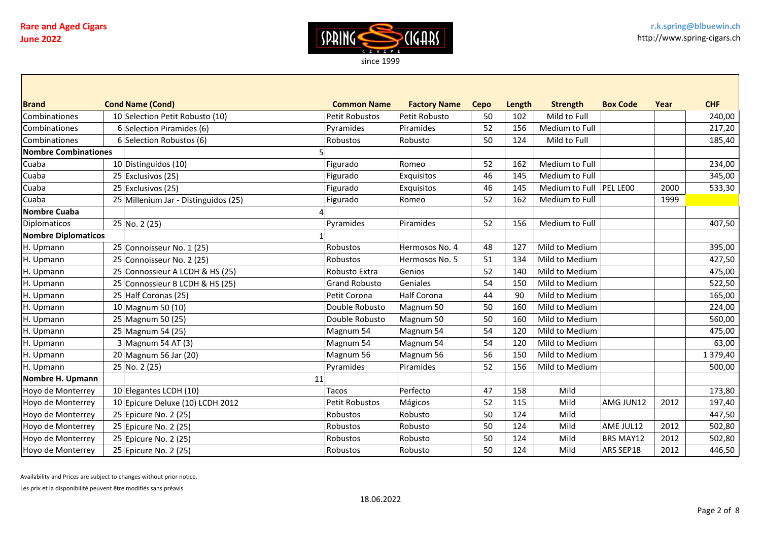

| <b>Brand</b>               | <b>Cond Name (Cond)</b>              | <b>Common Name</b>    | <b>Factory Name</b> | <b>Cepo</b> | Length | <b>Strength</b>           | <b>Box Code</b>  | Year | <b>CHF</b> |
|----------------------------|--------------------------------------|-----------------------|---------------------|-------------|--------|---------------------------|------------------|------|------------|
| Combinationes              | 10 Selection Petit Robusto (10)      | Petit Robustos        | Petit Robusto       | 50          | 102    | Mild to Full              |                  |      | 240,00     |
| Combinationes              | 6 Selection Piramides (6)            | Pyramides             | Piramides           | 52          | 156    | Medium to Full            |                  |      | 217,20     |
| Combinationes              | 6 Selection Robustos (6)             | Robustos              | Robusto             | 50          | 124    | Mild to Full              |                  |      | 185,40     |
| Nombre Combinationes       |                                      |                       |                     |             |        |                           |                  |      |            |
| Cuaba                      | 10 Distinguidos (10)                 | Figurado              | Romeo               | 52          | 162    | Medium to Full            |                  |      | 234,00     |
| Cuaba                      | 25 Exclusivos (25)                   | Figurado              | Exquisitos          | 46          | 145    | Medium to Full            |                  |      | 345,00     |
| Cuaba                      | 25 Exclusivos (25)                   | Figurado              | Exquisitos          | 46          | 145    | Medium to Full   PEL LE00 |                  | 2000 | 533,30     |
| Cuaba                      | 25 Millenium Jar - Distinguidos (25) | Figurado              | Romeo               | 52          | 162    | Medium to Full            |                  | 1999 |            |
| <b>Nombre Cuaba</b>        |                                      |                       |                     |             |        |                           |                  |      |            |
| <b>Diplomaticos</b>        | 25 No. 2 (25)                        | Pyramides             | Piramides           | 52          | 156    | Medium to Full            |                  |      | 407,50     |
| <b>Nombre Diplomaticos</b> |                                      |                       |                     |             |        |                           |                  |      |            |
| H. Upmann                  | 25 Connoisseur No. 1 (25)            | Robustos              | Hermosos No. 4      | 48          | 127    | Mild to Medium            |                  |      | 395,00     |
| H. Upmann                  | 25 Connoisseur No. 2 (25)            | Robustos              | Hermosos No. 5      | 51          | 134    | Mild to Medium            |                  |      | 427,50     |
| H. Upmann                  | 25 Connossieur A LCDH & HS (25)      | Robusto Extra         | Genios              | 52          | 140    | Mild to Medium            |                  |      | 475,00     |
| H. Upmann                  | 25 Connossieur B LCDH & HS (25)      | <b>Grand Robusto</b>  | Geniales            | 54          | 150    | Mild to Medium            |                  |      | 522,50     |
| H. Upmann                  | 25 Half Coronas (25)                 | Petit Corona          | <b>Half Corona</b>  | 44          | 90     | Mild to Medium            |                  |      | 165,00     |
| H. Upmann                  | 10 Magnum 50 $(10)$                  | Double Robusto        | Magnum 50           | 50          | 160    | Mild to Medium            |                  |      | 224,00     |
| H. Upmann                  | 25 Magnum 50 (25)                    | Double Robusto        | Magnum 50           | 50          | 160    | Mild to Medium            |                  |      | 560,00     |
| H. Upmann                  | 25 Magnum 54 (25)                    | Magnum 54             | Magnum 54           | 54          | 120    | Mild to Medium            |                  |      | 475,00     |
| H. Upmann                  | $3$ Magnum 54 AT (3)                 | Magnum 54             | Magnum 54           | 54          | 120    | Mild to Medium            |                  |      | 63,00      |
| H. Upmann                  | $20$ Magnum 56 Jar (20)              | Magnum 56             | Magnum 56           | 56          | 150    | Mild to Medium            |                  |      | 1 379,40   |
| H. Upmann                  | 25 No. 2 (25)                        | Pyramides             | Piramides           | 52          | 156    | Mild to Medium            |                  |      | 500,00     |
| Nombre H. Upmann           | 11                                   |                       |                     |             |        |                           |                  |      |            |
| Hoyo de Monterrey          | 10 Elegantes LCDH (10)               | Tacos                 | Perfecto            | 47          | 158    | Mild                      |                  |      | 173,80     |
| Hoyo de Monterrey          | 10 Epicure Deluxe (10) LCDH 2012     | <b>Petit Robustos</b> | Mágicos             | 52          | 115    | Mild                      | AMG JUN12        | 2012 | 197,40     |
| Hoyo de Monterrey          | 25 Epicure No. 2 (25)                | Robustos              | Robusto             | 50          | 124    | Mild                      |                  |      | 447,50     |
| Hoyo de Monterrey          | 25 Epicure No. 2 (25)                | Robustos              | Robusto             | 50          | 124    | Mild                      | AME JUL12        | 2012 | 502,80     |
| Hoyo de Monterrey          | 25 Epicure No. 2 (25)                | Robustos              | Robusto             | 50          | 124    | Mild                      | <b>BRS MAY12</b> | 2012 | 502,80     |
| Hoyo de Monterrey          | 25 Epicure No. 2 (25)                | Robustos              | Robusto             | 50          | 124    | Mild                      | ARS SEP18        | 2012 | 446,50     |

Availability and Prices are subject to changes without prior notice.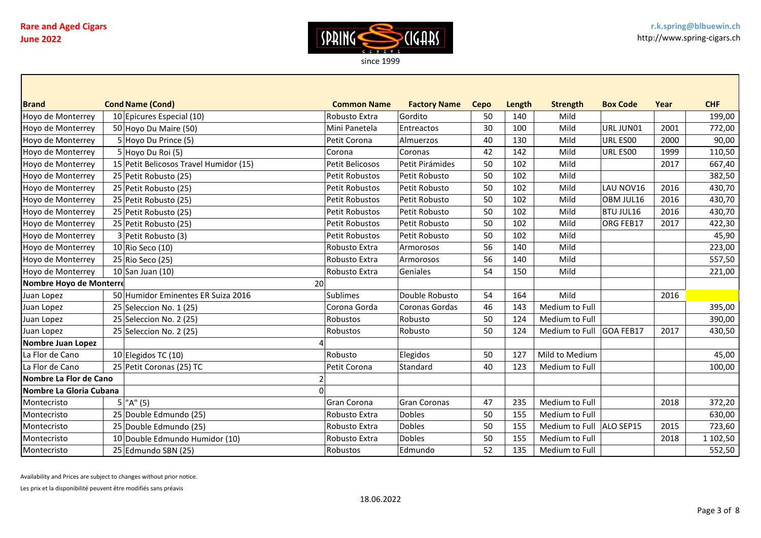

| <b>Brand</b>             | <b>Cond Name (Cond)</b>                | <b>Common Name</b>     | <b>Factory Name</b> | <b>Cepo</b> | Length | <b>Strength</b>            | <b>Box Code</b>  | Year | <b>CHF</b> |
|--------------------------|----------------------------------------|------------------------|---------------------|-------------|--------|----------------------------|------------------|------|------------|
| Hoyo de Monterrey        | 10 Epicures Especial (10)              | Robusto Extra          | Gordito             | 50          | 140    | Mild                       |                  |      | 199,00     |
| Hoyo de Monterrey        | 50 Hoyo Du Maire (50)                  | Mini Panetela          | Entreactos          | 30          | 100    | Mild                       | URL JUN01        | 2001 | 772,00     |
| Hoyo de Monterrey        | 5 Hoyo Du Prince (5)                   | Petit Corona           | Almuerzos           | 40          | 130    | Mild                       | URL ES00         | 2000 | 90,00      |
| Hoyo de Monterrey        | 5 Hoyo Du Roi (5)                      | Corona                 | Coronas             | 42          | 142    | Mild                       | URL ES00         | 1999 | 110,50     |
| Hoyo de Monterrey        | 15 Petit Belicosos Travel Humidor (15) | <b>Petit Belicosos</b> | Petit Pirámides     | 50          | 102    | Mild                       |                  | 2017 | 667,40     |
| Hoyo de Monterrey        | 25 Petit Robusto (25)                  | Petit Robustos         | Petit Robusto       | 50          | 102    | Mild                       |                  |      | 382,50     |
| Hoyo de Monterrey        | 25 Petit Robusto (25)                  | <b>Petit Robustos</b>  | Petit Robusto       | 50          | 102    | Mild                       | LAU NOV16        | 2016 | 430,70     |
| Hoyo de Monterrey        | 25 Petit Robusto (25)                  | Petit Robustos         | Petit Robusto       | 50          | 102    | Mild                       | OBM JUL16        | 2016 | 430,70     |
| Hoyo de Monterrey        | 25 Petit Robusto (25)                  | <b>Petit Robustos</b>  | Petit Robusto       | 50          | 102    | Mild                       | <b>BTU JUL16</b> | 2016 | 430,70     |
| Hoyo de Monterrey        | 25 Petit Robusto (25)                  | <b>Petit Robustos</b>  | Petit Robusto       | 50          | 102    | Mild                       | <b>ORG FEB17</b> | 2017 | 422,30     |
| Hoyo de Monterrey        | 3 Petit Robusto (3)                    | <b>Petit Robustos</b>  | Petit Robusto       | 50          | 102    | Mild                       |                  |      | 45,90      |
| Hoyo de Monterrey        | $10$ Rio Seco (10)                     | Robusto Extra          | Armorosos           | 56          | 140    | Mild                       |                  |      | 223,00     |
| Hoyo de Monterrey        | 25 Rio Seco (25)                       | Robusto Extra          | Armorosos           | 56          | 140    | Mild                       |                  |      | 557,50     |
| Hoyo de Monterrey        | $10$ San Juan (10)                     | Robusto Extra          | Geniales            | 54          | 150    | Mild                       |                  |      | 221,00     |
| Nombre Hoyo de Monterre  |                                        | 20                     |                     |             |        |                            |                  |      |            |
| Juan Lopez               | 50 Humidor Eminentes ER Suiza 2016     | <b>Sublimes</b>        | Double Robusto      | 54          | 164    | Mild                       |                  | 2016 |            |
| Juan Lopez               | 25 Seleccion No. 1 (25)                | Corona Gorda           | Coronas Gordas      | 46          | 143    | Medium to Full             |                  |      | 395,00     |
| Juan Lopez               | 25 Seleccion No. 2 (25)                | Robustos               | Robusto             | 50          | 124    | Medium to Full             |                  |      | 390,00     |
| Juan Lopez               | 25 Seleccion No. 2 (25)                | Robustos               | Robusto             | 50          | 124    | Medium to Full             | GOA FEB17        | 2017 | 430,50     |
| <b>Nombre Juan Lopez</b> |                                        |                        |                     |             |        |                            |                  |      |            |
| La Flor de Cano          | $10$ Elegidos TC (10)                  | Robusto                | Elegidos            | 50          | 127    | Mild to Medium             |                  |      | 45,00      |
| La Flor de Cano          | 25 Petit Coronas (25) TC               | Petit Corona           | Standard            | 40          | 123    | Medium to Full             |                  |      | 100,00     |
| Nombre La Flor de Cano   |                                        |                        |                     |             |        |                            |                  |      |            |
| Nombre La Gloria Cubana  |                                        |                        |                     |             |        |                            |                  |      |            |
| Montecristo              | $5$ "A" (5)                            | Gran Corona            | <b>Gran Coronas</b> | 47          | 235    | Medium to Full             |                  | 2018 | 372,20     |
| Montecristo              | 25 Double Edmundo (25)                 | Robusto Extra          | <b>Dobles</b>       | 50          | 155    | Medium to Full             |                  |      | 630,00     |
| Montecristo              | 25 Double Edmundo (25)                 | Robusto Extra          | <b>Dobles</b>       | 50          | 155    | Medium to Full   ALO SEP15 |                  | 2015 | 723,60     |
| Montecristo              | 10 Double Edmundo Humidor (10)         | Robusto Extra          | <b>Dobles</b>       | 50          | 155    | Medium to Full             |                  | 2018 | 1 102,50   |
| Montecristo              | 25 Edmundo SBN (25)                    | Robustos               | Edmundo             | 52          | 135    | Medium to Full             |                  |      | 552,50     |

Availability and Prices are subject to changes without prior notice.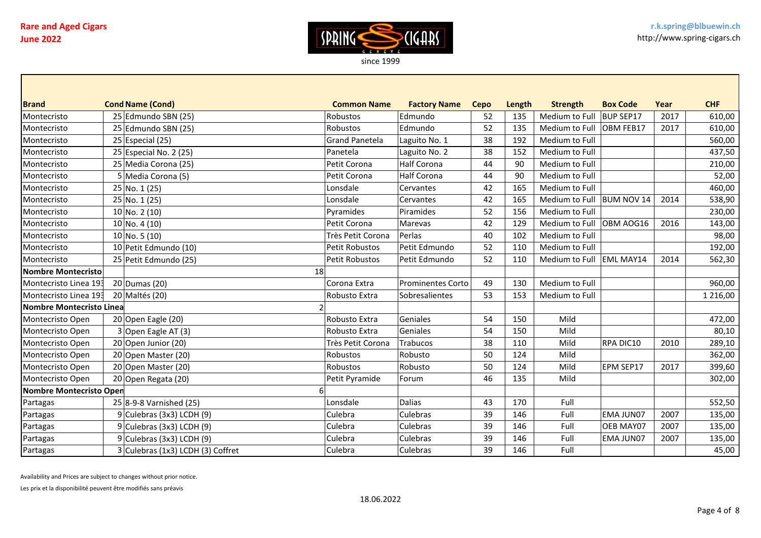

| <b>Brand</b>             | <b>Cond Name (Cond)</b>           | <b>Common Name</b>    | <b>Factory Name</b> | <b>Cepo</b> | Length | <b>Strength</b>            | <b>Box Code</b>   | Year | <b>CHF</b>    |
|--------------------------|-----------------------------------|-----------------------|---------------------|-------------|--------|----------------------------|-------------------|------|---------------|
| Montecristo              | 25 Edmundo SBN (25)               | Robustos              | Edmundo             | 52          | 135    | Medium to Full             | BUP SEP17         | 2017 | 610,00        |
| Montecristo              | 25 Edmundo SBN (25)               | <b>Robustos</b>       | Edmundo             | 52          | 135    | Medium to Full   OBM FEB17 |                   | 2017 | 610,00        |
| Montecristo              | $25$ Especial (25)                | <b>Grand Panetela</b> | Laguito No. 1       | 38          | 192    | Medium to Full             |                   |      | 560,00        |
| Montecristo              | 25 Especial No. 2 (25)            | Panetela              | Laguito No. 2       | 38          | 152    | Medium to Full             |                   |      | 437,50        |
| Montecristo              | 25 Media Corona (25)              | Petit Corona          | Half Corona         | 44          | 90     | Medium to Full             |                   |      | 210,00        |
| Montecristo              | 5 Media Corona (5)                | Petit Corona          | Half Corona         | 44          | 90     | Medium to Full             |                   |      | 52,00         |
| Montecristo              | 25 No. 1 (25)                     | Lonsdale              | Cervantes           | 42          | 165    | Medium to Full             |                   |      | 460,00        |
| Montecristo              | 25 No. 1(25)                      | Lonsdale              | Cervantes           | 42          | 165    | Medium to Full             | <b>BUM NOV 14</b> | 2014 | 538,90        |
| Montecristo              | $10 \vert$ No. 2 (10)             | Pyramides             | Piramides           | 52          | 156    | Medium to Full             |                   |      | 230,00        |
| Montecristo              | $10$ No. 4 (10)                   | Petit Corona          | Marevas             | 42          | 129    | Medium to Full             | OBM AOG16         | 2016 | 143,00        |
| Montecristo              | $10$ No. 5 (10)                   | Très Petit Corona     | Perlas              | 40          | 102    | Medium to Full             |                   |      | 98,00         |
| Montecristo              | 10 Petit Edmundo (10)             | Petit Robustos        | Petit Edmundo       | 52          | 110    | Medium to Full             |                   |      | 192,00        |
| Montecristo              | 25 Petit Edmundo (25)             | Petit Robustos        | Petit Edmundo       | 52          | 110    | Medium to Full EML MAY14   |                   | 2014 | 562,30        |
| Nombre Montecristo       | 18 <sup>1</sup>                   |                       |                     |             |        |                            |                   |      |               |
| Montecristo Linea 193    | 20 Dumas (20)                     | Corona Extra          | Prominentes Corto   | 49          | 130    | Medium to Full             |                   |      | 960,00        |
| Montecristo Linea 193    | 20 Maltés (20)                    | Robusto Extra         | Sobresalientes      | 53          | 153    | Medium to Full             |                   |      | 1 2 1 6 , 0 0 |
| Nombre Montecristo Linea |                                   |                       |                     |             |        |                            |                   |      |               |
| Montecristo Open         | 20 Open Eagle (20)                | Robusto Extra         | Geniales            | 54          | 150    | Mild                       |                   |      | 472,00        |
| Montecristo Open         | 3 Open Eagle AT (3)               | Robusto Extra         | Geniales            | 54          | 150    | Mild                       |                   |      | 80,10         |
| Montecristo Open         | 20 Open Junior (20)               | Très Petit Corona     | Trabucos            | 38          | 110    | Mild                       | <b>RPA DIC10</b>  | 2010 | 289,10        |
| Montecristo Open         | 20 Open Master (20)               | Robustos              | Robusto             | 50          | 124    | Mild                       |                   |      | 362,00        |
| Montecristo Open         | 20 Open Master (20)               | Robustos              | Robusto             | 50          | 124    | Mild                       | EPM SEP17         | 2017 | 399,60        |
| Montecristo Open         | 20 Open Regata (20)               | Petit Pyramide        | Forum               | 46          | 135    | Mild                       |                   |      | 302,00        |
| Nombre Montecristo Open  |                                   |                       |                     |             |        |                            |                   |      |               |
| Partagas                 | 25 8-9-8 Varnished (25)           | Lonsdale              | <b>Dalias</b>       | 43          | 170    | Full                       |                   |      | 552,50        |
| Partagas                 | $9$ Culebras (3x3) LCDH (9)       | Culebra               | Culebras            | 39          | 146    | Full                       | <b>EMA JUN07</b>  | 2007 | 135,00        |
| Partagas                 | $9$ Culebras (3x3) LCDH (9)       | Culebra               | Culebras            | 39          | 146    | Full                       | <b>OEB MAY07</b>  | 2007 | 135,00        |
| Partagas                 | $9$ Culebras (3x3) LCDH (9)       | Culebra               | Culebras            | 39          | 146    | Full                       | <b>EMA JUN07</b>  | 2007 | 135,00        |
| Partagas                 | 3 Culebras (1x3) LCDH (3) Coffret | Culebra               | Culebras            | 39          | 146    | Full                       |                   |      | 45,00         |

Availability and Prices are subject to changes without prior notice.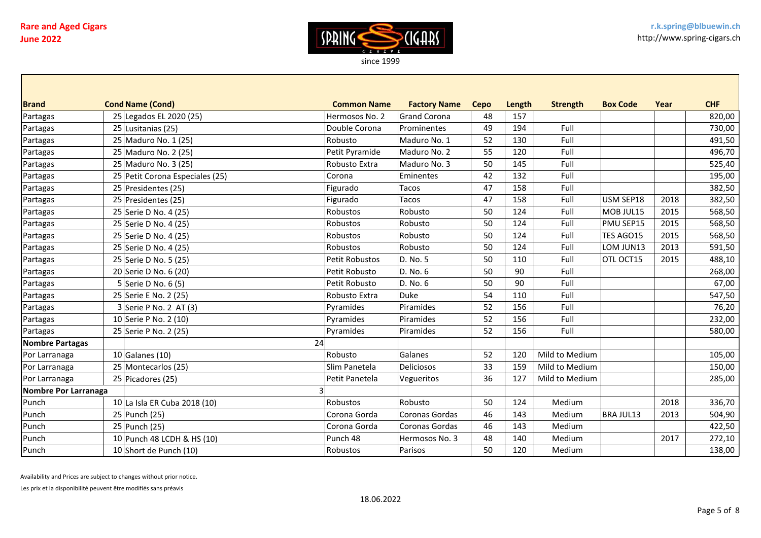

| <b>Brand</b>           | <b>Cond Name (Cond)</b>         | <b>Common Name</b> | <b>Factory Name</b> | <b>Cepo</b> | Length | <b>Strength</b> | <b>Box Code</b> | Year | <b>CHF</b> |
|------------------------|---------------------------------|--------------------|---------------------|-------------|--------|-----------------|-----------------|------|------------|
| Partagas               | 25 Legados EL 2020 (25)         | Hermosos No. 2     | Grand Corona        | 48          | 157    |                 |                 |      | 820,00     |
| Partagas               | 25 Lusitanias (25)              | Double Corona      | Prominentes         | 49          | 194    | Full            |                 |      | 730,00     |
| Partagas               | 25 Maduro No. 1 (25)            | Robusto            | Maduro No. 1        | 52          | 130    | Full            |                 |      | 491,50     |
| Partagas               | 25 Maduro No. 2 (25)            | Petit Pyramide     | Maduro No. 2        | 55          | 120    | Full            |                 |      | 496,70     |
| Partagas               | 25 Maduro No. 3 (25)            | Robusto Extra      | Maduro No. 3        | 50          | 145    | Full            |                 |      | 525,40     |
| Partagas               | 25 Petit Corona Especiales (25) | Corona             | Eminentes           | 42          | 132    | Full            |                 |      | 195,00     |
| Partagas               | 25 Presidentes (25)             | Figurado           | Tacos               | 47          | 158    | Full            |                 |      | 382,50     |
| Partagas               | 25 Presidentes (25)             | Figurado           | Tacos               | 47          | 158    | Full            | USM SEP18       | 2018 | 382,50     |
| Partagas               | 25 Serie D No. 4 (25)           | Robustos           | Robusto             | 50          | 124    | Full            | MOB JUL15       | 2015 | 568,50     |
| Partagas               | 25 Serie D No. 4 (25)           | Robustos           | Robusto             | 50          | 124    | Full            | PMU SEP15       | 2015 | 568,50     |
| Partagas               | 25 Serie D No. 4 (25)           | Robustos           | Robusto             | 50          | 124    | Full            | TES AGO15       | 2015 | 568,50     |
| Partagas               | 25 Serie D No. 4 (25)           | Robustos           | Robusto             | 50          | 124    | Full            | LOM JUN13       | 2013 | 591,50     |
| Partagas               | 25 Serie D No. 5 (25)           | Petit Robustos     | D. No. 5            | 50          | 110    | Full            | OTL OCT15       | 2015 | 488,10     |
| Partagas               | 20 Serie D No. 6 (20)           | Petit Robusto      | D. No. 6            | 50          | 90     | Full            |                 |      | 268,00     |
| Partagas               | 5 Serie D No. 6 (5)             | Petit Robusto      | D. No. 6            | 50          | 90     | Full            |                 |      | 67,00      |
| Partagas               | 25 Serie E No. 2 (25)           | Robusto Extra      | Duke                | 54          | 110    | Full            |                 |      | 547,50     |
| Partagas               | $3$ Serie P No. 2 AT (3)        | Pyramides          | Piramides           | 52          | 156    | Full            |                 |      | 76,20      |
| Partagas               | 10 Serie P No. 2 (10)           | Pyramides          | Piramides           | 52          | 156    | Full            |                 |      | 232,00     |
| Partagas               | 25 Serie P No. 2 (25)           | Pyramides          | Piramides           | 52          | 156    | Full            |                 |      | 580,00     |
| <b>Nombre Partagas</b> | 24                              |                    |                     |             |        |                 |                 |      |            |
| Por Larranaga          | $10$ Galanes (10)               | Robusto            | Galanes             | 52          | 120    | Mild to Medium  |                 |      | 105,00     |
| Por Larranaga          | 25 Montecarlos (25)             | Slim Panetela      | Deliciosos          | 33          | 159    | Mild to Medium  |                 |      | 150,00     |
| Por Larranaga          | 25 Picadores (25)               | Petit Panetela     | Vegueritos          | 36          | 127    | Mild to Medium  |                 |      | 285,00     |
| Nombre Por Larranaga   |                                 |                    |                     |             |        |                 |                 |      |            |
| Punch                  | 10 La Isla ER Cuba 2018 (10)    | Robustos           | Robusto             | 50          | 124    | Medium          |                 | 2018 | 336,70     |
| Punch                  | 25 Punch (25)                   | Corona Gorda       | Coronas Gordas      | 46          | 143    | Medium          | BRA JUL13       | 2013 | 504,90     |
| Punch                  | 25 Punch (25)                   | Corona Gorda       | Coronas Gordas      | 46          | 143    | Medium          |                 |      | 422,50     |
| Punch                  | 10 Punch 48 LCDH & HS (10)      | Punch 48           | Hermosos No. 3      | 48          | 140    | Medium          |                 | 2017 | 272,10     |
| Punch                  | 10 Short de Punch (10)          | Robustos           | Parisos             | 50          | 120    | Medium          |                 |      | 138,00     |

Availability and Prices are subject to changes without prior notice.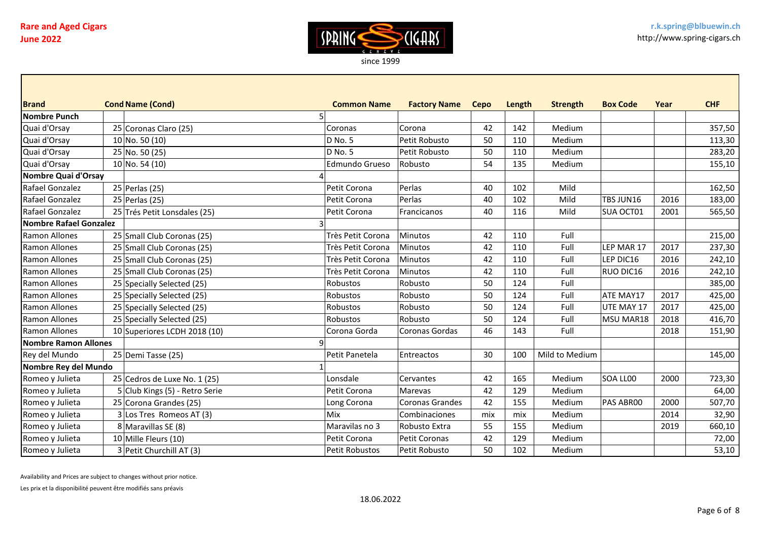

| <b>Brand</b>                | <b>Cond Name (Cond)</b>        | <b>Common Name</b>    | <b>Factory Name</b> | Cepo | Length | <b>Strength</b> | <b>Box Code</b> | Year | <b>CHF</b> |
|-----------------------------|--------------------------------|-----------------------|---------------------|------|--------|-----------------|-----------------|------|------------|
| <b>Nombre Punch</b>         |                                |                       |                     |      |        |                 |                 |      |            |
| Quai d'Orsay                | 25 Coronas Claro (25)          | Coronas               | <b>Corona</b>       | 42   | 142    | Medium          |                 |      | 357,50     |
| Quai d'Orsay                | $10$ No. 50 (10)               | D No. 5               | Petit Robusto       | 50   | 110    | Medium          |                 |      | 113,30     |
| Quai d'Orsay                | 25 No. 50 (25)                 | D No. 5               | Petit Robusto       | 50   | 110    | Medium          |                 |      | 283,20     |
| Quai d'Orsay                | $10$ No. 54 (10)               | <b>Edmundo Grueso</b> | Robusto             | 54   | 135    | Medium          |                 |      | 155,10     |
| Nombre Quai d'Orsay         |                                |                       |                     |      |        |                 |                 |      |            |
| Rafael Gonzalez             | 25 Perlas (25)                 | Petit Corona          | Perlas              | 40   | 102    | Mild            |                 |      | 162,50     |
| Rafael Gonzalez             | 25 Perlas (25)                 | Petit Corona          | Perlas              | 40   | 102    | Mild            | TBS JUN16       | 2016 | 183,00     |
| Rafael Gonzalez             | 25 Trés Petit Lonsdales (25)   | Petit Corona          | Francicanos         | 40   | 116    | Mild            | SUA OCT01       | 2001 | 565,50     |
| Nombre Rafael Gonzalez      |                                |                       |                     |      |        |                 |                 |      |            |
| Ramon Allones               | 25 Small Club Coronas (25)     | Très Petit Corona     | Minutos             | 42   | 110    | Full            |                 |      | 215,00     |
| Ramon Allones               | 25 Small Club Coronas (25)     | Très Petit Corona     | Minutos             | 42   | 110    | Full            | LEP MAR 17      | 2017 | 237,30     |
| <b>Ramon Allones</b>        | 25 Small Club Coronas (25)     | Très Petit Corona     | Minutos             | 42   | 110    | Full            | LEP DIC16       | 2016 | 242,10     |
| Ramon Allones               | 25 Small Club Coronas (25)     | Très Petit Corona     | Minutos             | 42   | 110    | Full            | RUO DIC16       | 2016 | 242,10     |
| <b>Ramon Allones</b>        | 25 Specially Selected (25)     | Robustos              | Robusto             | 50   | 124    | Full            |                 |      | 385,00     |
| Ramon Allones               | 25 Specially Selected (25)     | Robustos              | Robusto             | 50   | 124    | Full            | ATE MAY17       | 2017 | 425,00     |
| <b>Ramon Allones</b>        | 25 Specially Selected (25)     | Robustos              | Robusto             | 50   | 124    | Full            | UTE MAY 17      | 2017 | 425,00     |
| Ramon Allones               | 25 Specially Selected (25)     | Robustos              | Robusto             | 50   | 124    | Full            | MSU MAR18       | 2018 | 416,70     |
| <b>Ramon Allones</b>        | 10 Superiores LCDH 2018 (10)   | Corona Gorda          | Coronas Gordas      | 46   | 143    | Full            |                 | 2018 | 151,90     |
| <b>Nombre Ramon Allones</b> |                                |                       |                     |      |        |                 |                 |      |            |
| Rey del Mundo               | 25 Demi Tasse (25)             | Petit Panetela        | Entreactos          | 30   | 100    | Mild to Medium  |                 |      | 145,00     |
| Nombre Rey del Mundo        |                                |                       |                     |      |        |                 |                 |      |            |
| Romeo y Julieta             | 25 Cedros de Luxe No. 1 (25)   | Lonsdale              | Cervantes           | 42   | 165    | Medium          | SOA LL00        | 2000 | 723,30     |
| Romeo y Julieta             | 5 Club Kings (5) - Retro Serie | Petit Corona          | Marevas             | 42   | 129    | Medium          |                 |      | 64,00      |
| Romeo y Julieta             | 25 Corona Grandes (25)         | Long Corona           | Coronas Grandes     | 42   | 155    | Medium          | PAS ABROO       | 2000 | 507,70     |
| Romeo y Julieta             | 3 Los Tres Romeos AT (3)       | <b>Mix</b>            | Combinaciones       | mix  | mix    | Medium          |                 | 2014 | 32,90      |
| Romeo y Julieta             | 8 Maravillas SE (8)            | Maravilas no 3        | Robusto Extra       | 55   | 155    | Medium          |                 | 2019 | 660,10     |
| Romeo y Julieta             | 10 Mille Fleurs (10)           | Petit Corona          | Petit Coronas       | 42   | 129    | Medium          |                 |      | 72,00      |
| Romeo y Julieta             | 3 Petit Churchill AT (3)       | Petit Robustos        | Petit Robusto       | 50   | 102    | Medium          |                 |      | 53,10      |

Availability and Prices are subject to changes without prior notice.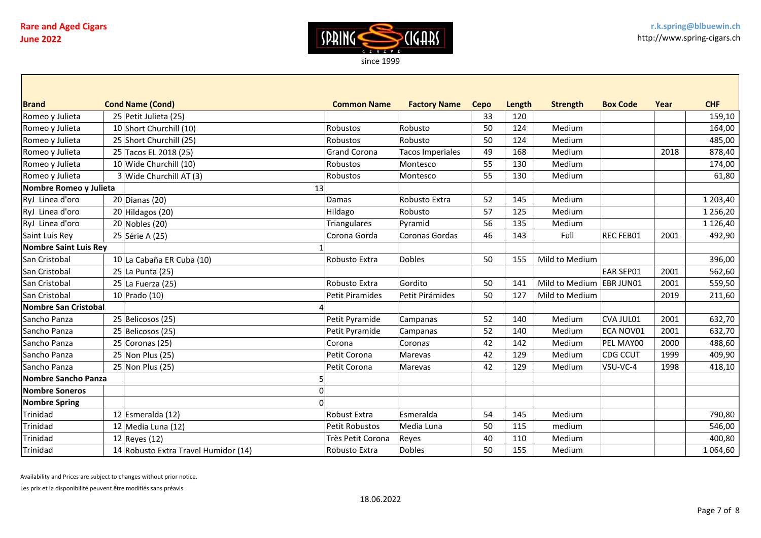

| <b>Brand</b>                 | <b>Cond Name (Cond)</b>              | <b>Common Name</b>     | <b>Factory Name</b>     | Cepo | Length | <b>Strength</b>          | <b>Box Code</b>  | Year | <b>CHF</b>    |
|------------------------------|--------------------------------------|------------------------|-------------------------|------|--------|--------------------------|------------------|------|---------------|
| Romeo y Julieta              | 25 Petit Julieta (25)                |                        |                         | 33   | 120    |                          |                  |      | 159,10        |
| Romeo y Julieta              | 10 Short Churchill (10)              | Robustos               | Robusto                 | 50   | 124    | Medium                   |                  |      | 164,00        |
| Romeo y Julieta              | 25 Short Churchill (25)              | Robustos               | Robusto                 | 50   | 124    | Medium                   |                  |      | 485,00        |
| Romeo y Julieta              | 25 Tacos EL 2018 (25)                | <b>Grand Corona</b>    | <b>Tacos Imperiales</b> | 49   | 168    | Medium                   |                  | 2018 | 878,40        |
| Romeo y Julieta              | 10 Wide Churchill (10)               | Robustos               | Montesco                | 55   | 130    | Medium                   |                  |      | 174,00        |
| Romeo y Julieta              | 3 Wide Churchill AT (3)              | Robustos               | Montesco                | 55   | 130    | Medium                   |                  |      | 61,80         |
| Nombre Romeo y Julieta       | 13                                   |                        |                         |      |        |                          |                  |      |               |
| RyJ Linea d'oro              | $20$ Dianas (20)                     | Damas                  | Robusto Extra           | 52   | 145    | Medium                   |                  |      | 1 203,40      |
| RyJ Linea d'oro              | $20$ Hildagos (20)                   | Hildago                | Robusto                 | 57   | 125    | Medium                   |                  |      | 1 256,20      |
| RyJ Linea d'oro              | $20$ Nobles (20)                     | <b>Triangulares</b>    | Pyramid                 | 56   | 135    | Medium                   |                  |      | 1 1 2 6 , 4 0 |
| Saint Luis Rey               | 25 Série A (25)                      | Corona Gorda           | Coronas Gordas          | 46   | 143    | Full                     | REC FEB01        | 2001 | 492,90        |
| <b>Nombre Saint Luis Rey</b> |                                      |                        |                         |      |        |                          |                  |      |               |
| San Cristobal                | 10 La Cabaña ER Cuba (10)            | Robusto Extra          | <b>Dobles</b>           | 50   | 155    | Mild to Medium           |                  |      | 396,00        |
| San Cristobal                | 25 La Punta (25)                     |                        |                         |      |        |                          | <b>EAR SEP01</b> | 2001 | 562,60        |
| San Cristobal                | 25 La Fuerza (25)                    | Robusto Extra          | Gordito                 | 50   | 141    | Mild to Medium EBR JUN01 |                  | 2001 | 559,50        |
| San Cristobal                | 10 Prado (10)                        | <b>Petit Piramides</b> | Petit Pirámides         | 50   | 127    | Mild to Medium           |                  | 2019 | 211,60        |
| Nombre San Cristobal         |                                      |                        |                         |      |        |                          |                  |      |               |
| Sancho Panza                 | 25 Belicosos (25)                    | Petit Pyramide         | Campanas                | 52   | 140    | Medium                   | CVA JUL01        | 2001 | 632,70        |
| Sancho Panza                 | 25 Belicosos (25)                    | Petit Pyramide         | Campanas                | 52   | 140    | Medium                   | ECA NOV01        | 2001 | 632,70        |
| Sancho Panza                 | $25$ Coronas (25)                    | Corona                 | Coronas                 | 42   | 142    | Medium                   | PEL MAY00        | 2000 | 488,60        |
| Sancho Panza                 | 25 Non Plus (25)                     | Petit Corona           | <b>Marevas</b>          | 42   | 129    | Medium                   | CDG CCUT         | 1999 | 409,90        |
| Sancho Panza                 | 25 Non Plus (25)                     | Petit Corona           | Marevas                 | 42   | 129    | Medium                   | VSU-VC-4         | 1998 | 418,10        |
| Nombre Sancho Panza          |                                      |                        |                         |      |        |                          |                  |      |               |
| <b>Nombre Soneros</b>        |                                      |                        |                         |      |        |                          |                  |      |               |
| <b>Nombre Spring</b>         |                                      |                        |                         |      |        |                          |                  |      |               |
| Trinidad                     | 12 Esmeralda (12)                    | Robust Extra           | Esmeralda               | 54   | 145    | Medium                   |                  |      | 790,80        |
| Trinidad                     | 12 Media Luna $(12)$                 | <b>Petit Robustos</b>  | Media Luna              | 50   | 115    | medium                   |                  |      | 546,00        |
| Trinidad                     | $12$ Reyes (12)                      | Très Petit Corona      | Reyes                   | 40   | 110    | Medium                   |                  |      | 400,80        |
| Trinidad                     | 14 Robusto Extra Travel Humidor (14) | Robusto Extra          | <b>Dobles</b>           | 50   | 155    | Medium                   |                  |      | 1 064,60      |

Availability and Prices are subject to changes without prior notice.